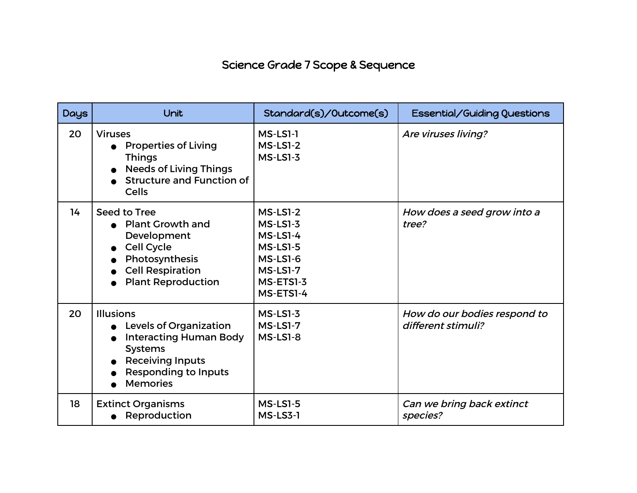## Science Grade 7 Scope & Sequence

| <b>Days</b> | Unit                                                                                                                                                                              | Standard(s)/Outcome(s)                                                                                                 | Essential/Guiding Questions                        |
|-------------|-----------------------------------------------------------------------------------------------------------------------------------------------------------------------------------|------------------------------------------------------------------------------------------------------------------------|----------------------------------------------------|
| 20          | <b>Viruses</b><br><b>Properties of Living</b><br><b>Things</b><br><b>Needs of Living Things</b><br><b>Structure and Function of</b><br><b>Cells</b>                               | MS-LS1-1<br><b>MS-LS1-2</b><br>$MS-LS1-3$                                                                              | Are viruses living?                                |
| 14          | Seed to Tree<br><b>Plant Growth and</b><br>Development<br>Cell Cycle<br>Photosynthesis<br><b>Cell Respiration</b><br><b>Plant Reproduction</b>                                    | <b>MS-LS1-2</b><br>$MS$ -LS1-3<br>MS-LS1-4<br><b>MS-LS1-5</b><br>MS-LS1-6<br><b>MS-LS1-7</b><br>MS-ETS1-3<br>MS-ETS1-4 | How does a seed grow into a<br>tree?               |
| 20          | <b>Illusions</b><br><b>Levels of Organization</b><br><b>Interacting Human Body</b><br><b>Systems</b><br><b>Receiving Inputs</b><br><b>Responding to Inputs</b><br><b>Memories</b> | $MS$ -LS1-3<br><b>MS-LS1-7</b><br><b>MS-LS1-8</b>                                                                      | How do our bodies respond to<br>different stimuli? |
| 18          | <b>Extinct Organisms</b><br>Reproduction                                                                                                                                          | <b>MS-LS1-5</b><br><b>MS-LS3-1</b>                                                                                     | Can we bring back extinct<br>species?              |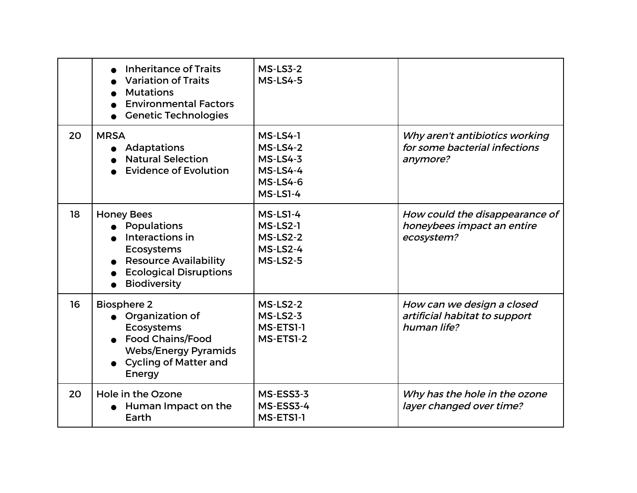|    | <b>Inheritance of Traits</b><br><b>Variation of Traits</b><br><b>Mutations</b><br><b>Environmental Factors</b><br><b>Genetic Technologies</b>                    | <b>MS-LS3-2</b><br><b>MS-LS4-5</b>                                                                      |                                                                             |
|----|------------------------------------------------------------------------------------------------------------------------------------------------------------------|---------------------------------------------------------------------------------------------------------|-----------------------------------------------------------------------------|
| 20 | <b>MRSA</b><br>Adaptations<br><b>Natural Selection</b><br><b>Evidence of Evolution</b>                                                                           | MS-LS4-1<br><b>MS-LS4-2</b><br><b>MS-LS4-3</b><br><b>MS-LS4-4</b><br><b>MS-LS4-6</b><br><b>MS-LS1-4</b> | Why aren't antibiotics working<br>for some bacterial infections<br>anymore? |
| 18 | <b>Honey Bees</b><br>Populations<br>Interactions in<br><b>Ecosystems</b><br><b>Resource Availability</b><br><b>Ecological Disruptions</b><br><b>Biodiversity</b> | MS-LS1-4<br>MS-LS2-1<br><b>MS-LS2-2</b><br>MS-LS2-4<br><b>MS-LS2-5</b>                                  | How could the disappearance of<br>honeybees impact an entire<br>ecosystem?  |
| 16 | <b>Biosphere 2</b><br>• Organization of<br><b>Ecosystems</b><br><b>Food Chains/Food</b><br><b>Webs/Energy Pyramids</b><br><b>Cycling of Matter and</b><br>Energy | <b>MS-LS2-2</b><br>$MS$ -LS2-3<br>MS-ETSI-1<br>MS-ETS1-2                                                | How can we design a closed<br>artificial habitat to support<br>human life?  |
| 20 | Hole in the Ozone<br>Human Impact on the<br>Earth                                                                                                                | MS-ESS3-3<br>MS-ESS3-4<br>MS-ETSI-1                                                                     | Why has the hole in the ozone<br>layer changed over time?                   |